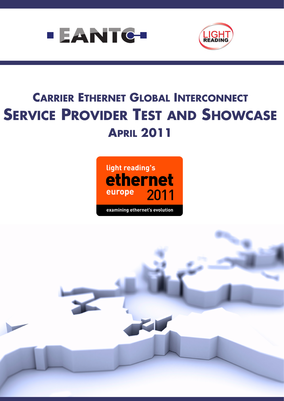



# **CARRIER ETHERNET GLOBAL INTERCONNECT SERVICE PROVIDER TEST AND SHOWCASE APRIL 2011**



examining ethernet's evolution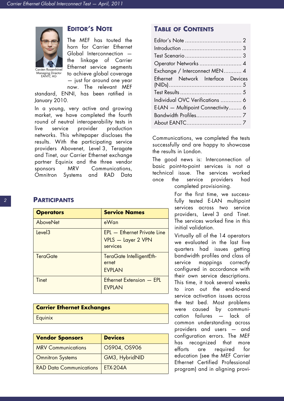<span id="page-1-0"></span>

Managing Director EANTC AG

# **EDITOR'S NOTE**

The MEF has touted the horn for Carrier Ethernet Global Interconnection the linkage of Carrier Ethernet service segments to achieve global coverage — just for around one year

now. The relevant MEF

standard, ENNI, has been ratified in January 2010.

In a young, very active and growing market, we have completed the fourth round of neutral interoperability tests in live service provider production networks. This whitepaper discloses the results. With the participating service providers Abovenet, Level 3, Teragate and Tinet, our Carrier Ethernet exchange partner Equinix and the three vendor sponsors MRV Communications, Omnitron Systems and RAD Data

### **PARTICIPANTS**

| <b>Operators</b>   | <b>Service Names</b>                                                 |
|--------------------|----------------------------------------------------------------------|
| AboveNet           | eWan                                                                 |
| Level <sub>3</sub> | <b>EPL</b> - Ethernet Private Line<br>VPLS - Layer 2 VPN<br>services |
| <b>TeraGate</b>    | TeraGate IntelligentEth-<br>ernet<br><b>EVPLAN</b>                   |
| Tinet              | Ethernet Extension - EPL<br><b>EVPLAN</b>                            |

| <b>Carrier Ethernet Exchanges</b> |  |
|-----------------------------------|--|
| Equinix                           |  |

| <b>Vendor Sponsors</b>         | <b>Devices</b>  |
|--------------------------------|-----------------|
| <b>MRV Communications</b>      | OS904, OS906    |
| <b>Omnitron Systems</b>        | GM3, HybridNID  |
| <b>RAD Data Communications</b> | <b>FTX-204A</b> |

# **TABLE OF CONTENTS**

| Operator Networks  4               |
|------------------------------------|
| Exchange / Interconnect MEN 4      |
| Ethernet Network Interface Devices |
|                                    |
|                                    |
| Individual OVC Verifications  6    |
| E-LAN - Multipoint Connectivity 6  |
|                                    |
|                                    |

Communications, we completed the tests successfully and are happy to showcase the results in London.

The good news is: Interconnection of basic point-to-point services is not a technical issue. The services worked once the service providers had completed provisioning.

> For the first time, we successfully tested E-LAN multipoint services across two service providers, Level 3 and Tinet. The services worked fine in this initial validation.

> Virtually all of the 14 operators we evaluated in the last five quarters had issues getting bandwidth profiles and class of service mappings correctly configured in accordance with their own service descriptions. This time, it took several weeks to iron out the end-to-end service activation issues across the test bed. Most problems were caused by communication failures — lack of common understanding across providers and users — and configuration errors. The MEF has recognized that more efforts are required for education (see the MEF Carrier Ethernet Certified Professional program) and in aligning provi-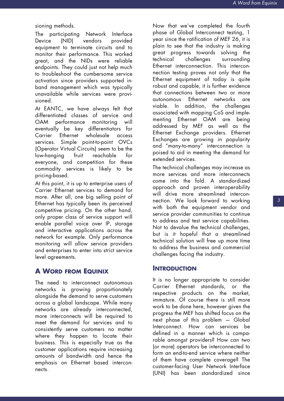#### sioning methods.

The participating Network Interface Device (NID) vendors provided equipment to terminate circuits and to monitor their performance. This worked great, and the NIDs were reliable endpoints. They could just not help much to troubleshoot the cumbersome service activation since providers supported inband management which was typically unavailable while services were provisioned.

At EANTC, we have always felt that differentiated classes of service and OAM performance monitoring will eventually be key differentiators for Carrier Ethernet wholesale access services. Simple point-to-point OVCs (Operator Virtual Circuits) seem to be the low-hanging fruit reachable for everyone, and competition for these commodity services is likely to be pricing-based.

At this point, it is up to enterprise users of Carrier Ethernet services to demand for more. After all, one big selling point of Ethernet has typically been its perceived competitive pricing. On the other hand, only proper class of service support will enable parallel voice over IP, storage and interactive applications across the network for example. Only performance monitoring will allow service providers and enterprises to enter into strict service level agreements.

# **A WORD FROM EQUINIX**

The need to interconnect autonomous networks is growing proportionately alongside the demand to serve customers across a global landscape. While many networks are already interconnected, more interconnects will be required to meet the demand for services and to consistently serve customers no matter where they happen to locate their business. This is especially true as the customer applications require increasing amounts of bandwidth and hence the emphasis on Ethernet based interconnects.

Now that we've completed the fourth phase of Global Interconnect testing, 1 year since the ratification of MEF 26, it is plain to see that the industry is making great progress towards solving the technical challenges surrounding Ethernet interconnection. This interconnection testing proves not only that the Ethernet equipment of today is quite robust and capable, it is further evidence that connections between two or more autonomous Ethernet networks are viable. In addition, the challenges associated with mapping CoS and implementing Ethernet OAM are being addressed by MEF as well as the Ethernet Exchange providers. Ethernet Exchanges are growing in popularity and "many-to-many" interconnection is poised to aid in meeting the demand for extended services.

The technical challenges may increase as more services and more interconnects come into the fold. A standardized approach and proven interoperability will drive more streamlined interconnection. We look forward to working with both the equipment vendor and service provider communities to continue to address and test service capabilities. Not to devalue the technical challenges, but is it hopeful that a streamlined technical solution will free up more time to address the business and commercial challenges facing the industry.

#### <span id="page-2-0"></span>**INTRODUCTION**

It is no longer appropriate to consider Carrier Ethernet standards, or the respective products on the market, immature. Of course there is still more work to be done here, however given the progress the MEF has shifted focus on the next phase of this problem — Global Interconnect. How can services be defined in a manner which is comparable amongst providers? How can two (or more) operators be interconnected to form an end-to-end service where neither of them have complete coverage? The customer-facing User Network Interface (UNI) has been standardized since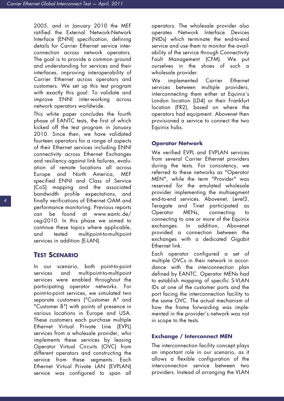2005, and in January 2010 the MEF ratified the External Network-Network Interface (ENNI) specification, defining details for Carrier Ethernet service interconnection across network operators. The goal is to provide a common ground and understanding for services and their interfaces, improving interoperability of Carrier Ethernet across operators and customers. We set up this test program with exactly this goal: To validate and improve ENNI inter-working across network operators worldwide.

This white paper concludes the fourth phase of EANTC tests, the first of which kicked off the test program in January 2010. Since then, we have validated fourteen operators for a range of aspects of their Ethernet services including ENNI connectivity across Ethernet Exchanges and resiliency against link failures, evaluation of remote locations all across Europe and North America, MEF specified ENNI and Class of Service (CoS) mapping and the associated bandwidth profile expectations, and finally verifications of Ethernet OAM and performance monitoring. Previous reports can be found at www.eantc.de/ cegi2010. In this phase we aimed to continue these topics where applicable, and tested multipoint-to-multipoint services in addition (E-LAN).

## <span id="page-3-0"></span>**TEST SCENARIO**

In our scenario, both point-to-point services and multipoint-to-multipoint services were enabled throughout the participating operator networks. For point-to-point services, we simulated two separate customers ("Customer A" and "Customer B") with points of presence in various locations in Europe and USA. These customers each purchase multiple Ethernet Virtual Private Line (EVPL) services from a wholesale provider, who implements these services by leasing Operator Virtual Circuits (OVC) from different operators and constructing the service from these segments. Each Ethernet Virtual Private LAN (EVPLAN) service was configured to span all

operators. The wholesale provider also operates Network Interface Devices (NIDs) which terminate the end-to-end service and use them to monitor the availability of the service through Connectivity Fault Management (CFM). We put ourselves in the shoes of such a wholesale provider.

We implemented Carrier Ethernet services between multiple providers, interconnecting them either at Equinix's London location (LD4) or their Frankfurt location (FR2), based on where the operators had equipment. Abovenet then provisioned a service to connect the two Equinix hubs.

#### <span id="page-3-1"></span>**Operator Network**

We verified EVPL and EVPLAN services from several Carrier Ethernet providers during the tests. For consistency, we referred to these networks as "Operator MEN", while the term "Provider" was reserved for the emulated wholesale provider implementing the multisegment end-to-end services. Abovenet, Level3, Teragate and Tinet participated as Operator MENs, connecting to connecting to one or more of the Equinix exchanges. In addition, Abovenet provided a connection between the exchanges with a dedicated Gigabit Ethernet link.

Each operator configured a set of multiple OVCs in their network in accordance with the interconnection plan defined by EANTC. Operator MENs had to establish mapping of specific S-VLAN IDs at one of the customer ports and the port facing the interconnection facility to the same OVC. The actual mechanism of how the frame forwarding was implemented in the provider's network was not in scope to the tests.

#### <span id="page-3-2"></span>**Exchange / Interconnect MEN**

The interconnection facility concept plays an important role in our scenario, as it allows a flexible configuration of the interconnection service between two providers. Instead of arranging the VLAN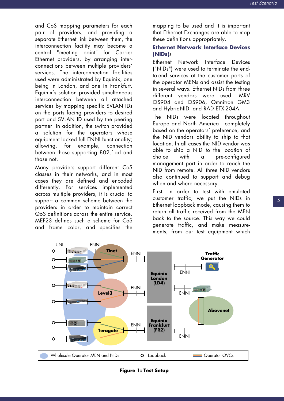and CoS mapping parameters for each pair of providers, and providing a separate Ethernet link between them, the interconnection facility may become a central "meeting point" for Carrier Ethernet providers, by arranging interconnections between multiple providers' services. The interconnection facilities used were administrated by Equinix, one being in London, and one in Frankfurt. Equinix's solution provided simultaneous interconnection between all attached services by mapping specific SVLAN IDs on the ports facing providers to desired port and SVLAN ID used by the peering partner. In addition, the switch provided a solution for the operators whose equipment lacked full ENNI functionality; allowing, for example, connection between those supporting 802.1ad and those not.

Many providers support different CoS classes in their networks, and in most cases they are defined and encoded differently. For services implemented across multiple providers, it is crucial to support a common scheme between the providers in order to maintain correct QoS definitions across the entire service. MEF23 defines such a scheme for CoS and frame color, and specifies the mapping to be used and it is important that Ethernet Exchanges are able to map these definitions appropriately.

## <span id="page-4-0"></span>**Ethernet Network Interface Devices (NIDs)**s

Ethernet Network Interface Devices ("NIDs") were used to terminate the endto-end services at the customer ports of the operator MENs and assist the testing in several ways. Ethernet NIDs from three different vendors were used: MRV OS904 and OS906, Omnitron GM3 and HybridNID, and RAD ETX-204A.

The NIDs were located throughout Europe and North America - completely based on the operators' preference, and the NID vendors ability to ship to that location. In all cases the NID vendor was able to ship a NID to the location of choice with a pre-configured management port in order to reach the NID from remote. All three NID vendors also continued to support and debug when and where necessary.

First, in order to test with emulated customer traffic, we put the NIDs in Ethernet loopback mode, causing them to return all traffic received from the MEN back to the source. This way we could generate traffic, and make measurements, from our test equipment which



**Figure 1: Test Setup**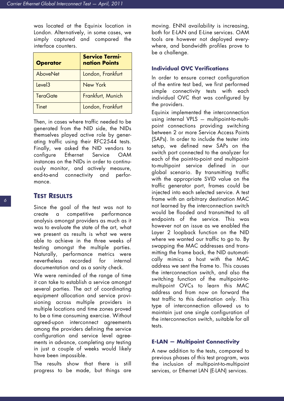was located at the Equinix location in London. Alternatively, in some cases, we simply captured and compared the interface counters.

| <b>Operator</b>    | <b>Service Termi-</b><br>nation Points |
|--------------------|----------------------------------------|
| <b>AboveNet</b>    | London, Frankfurt                      |
| Level <sub>3</sub> | New York                               |
| <b>TeraGate</b>    | Frankfurt, Munich                      |
| Tinet              | London, Frankfurt                      |

Then, in cases where traffic needed to be generated from the NID side, the NIDs themselves played active role by generating traffic using their RFC2544 tests. Finally, we asked the NID vendors to configure Ethernet Service OAM instances on the NIDs in order to continuously monitor, and actively measure, end-to-end connectivity and performance.

## <span id="page-5-0"></span>**TEST RESULTS**

Since the goal of the test was not to create a competitive performance analysis amongst providers as much as it was to evaluate the state of the art, what we present as results is what we were able to achieve in the three weeks of testing amongst the multiple parties. Naturally, performance metrics were nevertheless recorded for internal documentation and as a sanity check.

We were reminded of the range of time it can take to establish a service amongst several parties. The act of coordinating equipment allocation and service provisioning across multiple providers in multiple locations and time zones proved to be a time consuming exercise. Without agreed-upon interconnect agreements among the providers defining the service configuration and service level agreements in advance, completing any testing in just a couple of weeks would likely have been impossible.

The results show that there is still progress to be made, but things are moving. ENNI availability is increasing, both for E-LAN and E-Line services. OAM tools are however not deployed everywhere, and bandwidth profiles prove to be a challenge.

#### <span id="page-5-2"></span>**Individual OVC Verifications**

In order to ensure correct configuration of the entire test bed, we first performed simple connectivity tests with each individual OVC that was configured by the providers.

Equinix implemented the interconnection using internal VPLS — multipoint-to-multipoint connections providing switching between 2 or more Service Access Points (SAPs). In order to include the tester into setup, we defined new SAPs on the switch port connected to the analyzer for each of the point-to-point and multipointto-multipoint service defined in our global scenario. By transmitting traffic with the appropriate SVID value on the traffic generator port, frames could be injected into each selected service. A test frame with an arbitrary destination MAC not learned by the interconnection switch would be flooded and transmitted to all endpoints of the service. This was however not an issue as we enabled the Layer 2 loopback function on the NID where we wanted our traffic to go to. By swapping the MAC addresses and transmitting the frame back, the NID automatically mimics a host with the MAC address we sent the frame to. This causes the interconnection switch, and also the switching function of the multipoint-tomultipoint OVCs to learn this MAC address and from now on forward the test traffic to this destination only. This type of interconnection allowed us to maintain just one single configuration of the interconnection switch, suitable for all tests.

#### <span id="page-5-1"></span>**E-LAN — Multipoint Connectivity**

A new addition to the tests, compared to previous phases of this test program, was the inclusion of multipoint-to-multipoint services, or Ethernet LAN (E-LAN) services.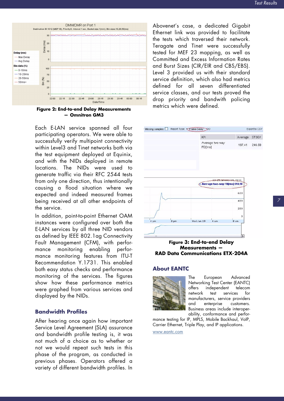

**Figure 2: End-to-end Delay Measurements — Omnitron GM3**

Each E-LAN service spanned all four participating operators. We were able to successfully verify multipoint connectivity within Level3 and Tinet networks both via the test equipment deployed at Equinix, and with the NIDs deployed in remote locations. The NIDs were used to generate traffic via their RFC 2544 tests from only one direction, thus intentionally causing a flood situation where we expected and indeed measured frames being received at all other endpoints of the service.

In addition, point-to-point Ethernet OAM instances were configured over both the E-LAN services by all three NID vendors as defined by IEEE 802.1ag Connectivity Fault Management (CFM), with performance monitoring enabling performance monitoring features from ITU-T Recommendation Y.1731. This enabled both easy status checks and performance monitoring of the services. The figures show how these performance metrics were graphed from various services and displayed by the NIDs.

#### <span id="page-6-0"></span>**Bandwidth Profiles**

After hearing once again how important Service Level Agreement (SLA) assurance and bandwidth profile testing is, it was not much of a choice as to whether or not we would repeat such tests in this phase of the program, as conducted in previous phases. Operators offered a variety of different bandwidth profiles. In

Abovenet's case, a dedicated Gigabit Ethernet link was provided to facilitate the tests which traversed their network. Teragate and Tinet were successfully tested for MEF 23 mapping, as well as Committed and Excess Information Rates and Burst Sizes (CIR/EIR and CBS/EBS). Level 3 provided us with their standard service definition, which also had metrics defined for all seven differentiated service classes, and our tests proved the drop priority and bandwith policing metrics which were defined.



**Figure 3: End-to-end Delay Measurements — RAD Data Communications ETX-204A**

#### <span id="page-6-1"></span>**About EANTC**



The European Advanced Networking Test Center (EANTC) offers independent telecom network test services for manufacturers, service providers and enterprise customers. Business areas include interoperability, conformance and perfor-

mance testing for IP, MPLS, Mobile Backhaul, VoIP, Carrier Ethernet, Triple Play, and IP applications.

www.eantc.com